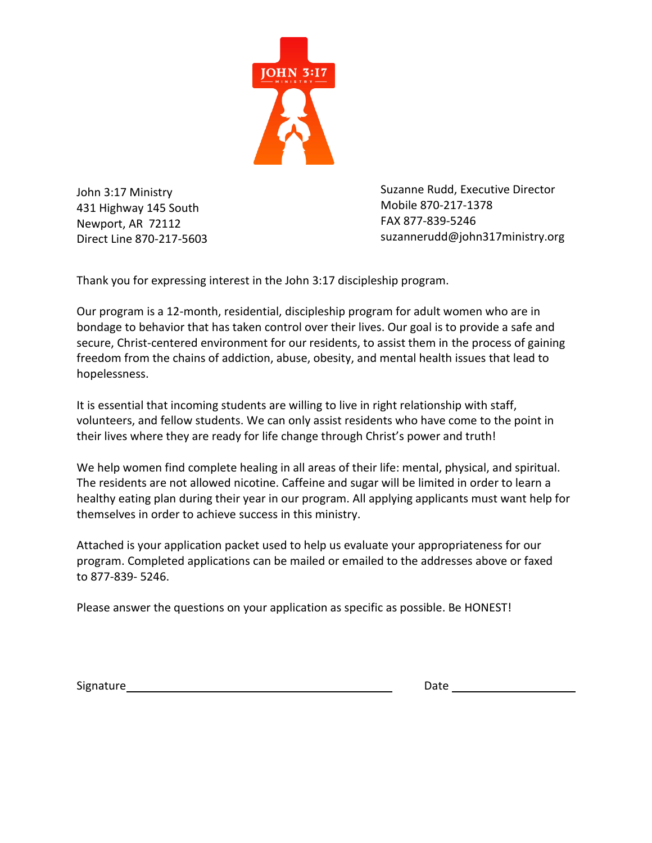

John 3:17 Ministry 431 Highway 145 South Newport, AR 72112 Direct Line 870-217-5603 Suzanne Rudd, Executive Director Mobile 870-217-1378 FAX 877-839-5246 suzannerudd@john317ministry.org

Thank you for expressing interest in the John 3:17 discipleship program.

Our program is a 12-month, residential, discipleship program for adult women who are in bondage to behavior that has taken control over their lives. Our goal is to provide a safe and secure, Christ-centered environment for our residents, to assist them in the process of gaining freedom from the chains of addiction, abuse, obesity, and mental health issues that lead to hopelessness.

It is essential that incoming students are willing to live in right relationship with staff, volunteers, and fellow students. We can only assist residents who have come to the point in their lives where they are ready for life change through Christ's power and truth!

We help women find complete healing in all areas of their life: mental, physical, and spiritual. The residents are not allowed nicotine. Caffeine and sugar will be limited in order to learn a healthy eating plan during their year in our program. All applying applicants must want help for themselves in order to achieve success in this ministry.

Attached is your application packet used to help us evaluate your appropriateness for our program. Completed applications can be mailed or emailed to the addresses above or faxed to 877-839- 5246.

Please answer the questions on your application as specific as possible. Be HONEST!

Signature Date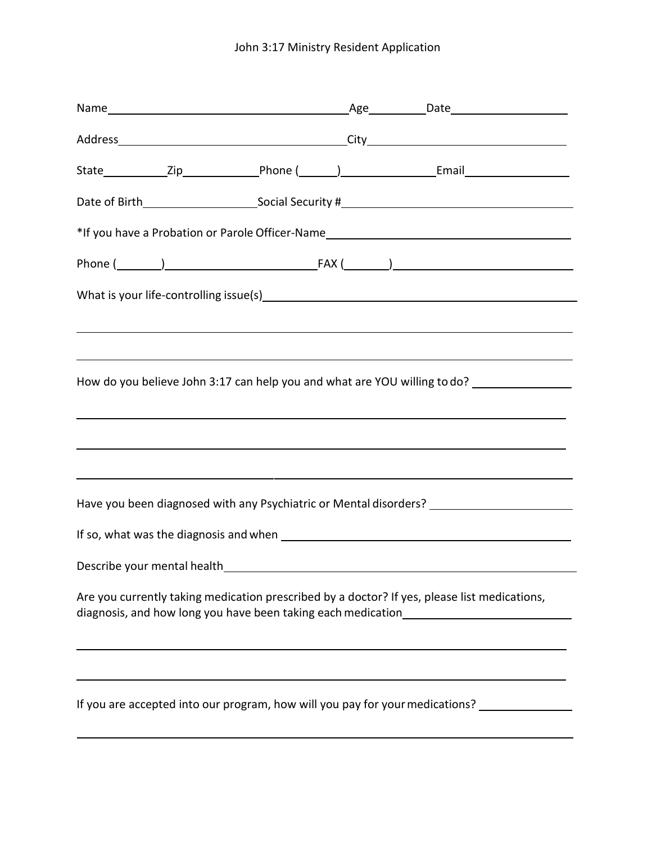## John 3:17 Ministry Resident Application

|  |  | *If you have a Probation or Parole Officer-Name_________________________________                                                                                                                  |
|--|--|---------------------------------------------------------------------------------------------------------------------------------------------------------------------------------------------------|
|  |  |                                                                                                                                                                                                   |
|  |  |                                                                                                                                                                                                   |
|  |  | ,我们也不会有什么。""我们的人,我们也不会有什么?""我们的人,我们也不会有什么?""我们的人,我们也不会有什么?""我们的人,我们也不会有什么?""我们的人                                                                                                                  |
|  |  | How do you believe John 3:17 can help you and what are YOU willing to do?<br><u> 1989 - Andrea Santa Andrea Andrea Santa Andrea Andrea Andrea Andrea Andrea Andrea Andrea Andrea Andrea Andre</u> |
|  |  | ,我们也不会有一个人的事情。""我们的人们是不是我们的人,我们也不会有一个人的人,我们也不会有一个人的人,我们也不会有一个人的人,我们也不会有一个人的人,我们也                                                                                                                  |
|  |  | Have you been diagnosed with any Psychiatric or Mental disorders?                                                                                                                                 |
|  |  |                                                                                                                                                                                                   |
|  |  |                                                                                                                                                                                                   |
|  |  | Are you currently taking medication prescribed by a doctor? If yes, please list medications,<br>diagnosis, and how long you have been taking each medication_____________________                 |
|  |  | ,我们也不会有什么。""我们的人,我们也不会有什么?""我们的人,我们也不会有什么?""我们的人,我们也不会有什么?""我们的人,我们也不会有什么?""我们的人                                                                                                                  |
|  |  | If you are accepted into our program, how will you pay for your medications? ________________                                                                                                     |
|  |  |                                                                                                                                                                                                   |